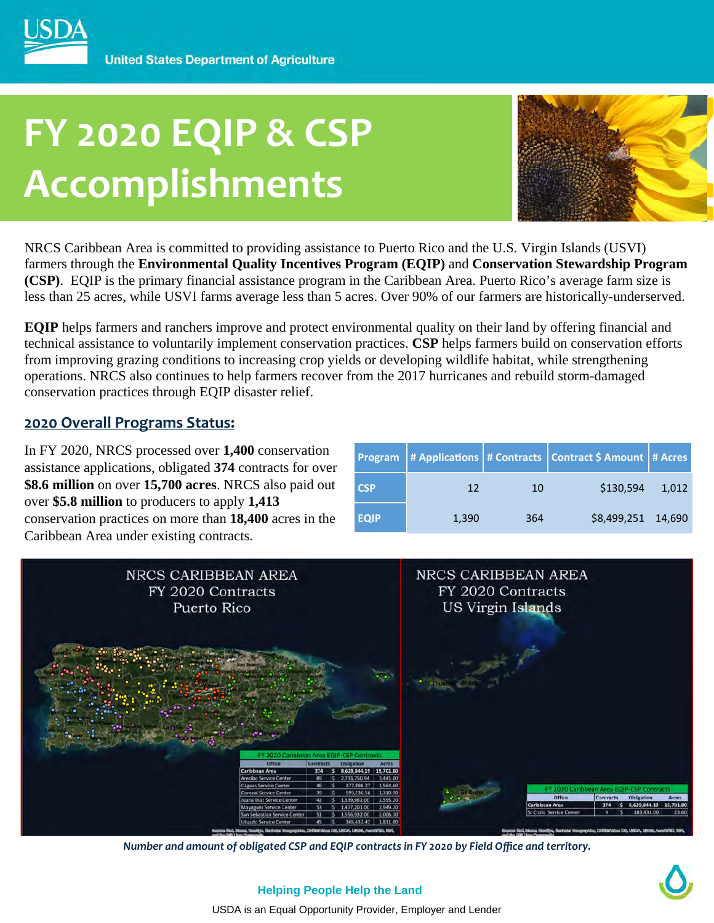# **FY 2020 EQIP & CSP Accomplishments**



NRCS Caribbean Area is committed to providing assistance to Puerto Rico and the U.S. Virgin Islands (USVI) farmers through the **Environmental Quality Incentives Program (EQIP)** and **Conservation Stewardship Program (CSP)**. EQIP is the primary financial assistance program in the Caribbean Area. Puerto Rico's average farm size is less than 25 acres, while USVI farms average less than 5 acres. Over 90% of our farmers are historically-underserved.

**EQIP** helps farmers and ranchers improve and protect environmental quality on their land by offering financial and technical assistance to voluntarily implement conservation practices. **CSP** helps farmers build on conservation efforts from improving grazing conditions to increasing crop yields or developing wildlife habitat, while strengthening operations. NRCS also continues to help farmers recover from the 2017 hurricanes and rebuild storm-damaged conservation practices through EQIP disaster relief.

### **2020 Overall Programs Status:**

In FY 2020, NRCS processed over **1,400** conservation assistance applications, obligated **374** contracts for over **\$8.6 million** on over **15,700 acres**. NRCS also paid out over **\$5.8 million** to producers to apply **1,413**  conservation practices on more than **18,400** acres in the Caribbean Area under existing contracts.

| <b>Program</b> |       |     | # Applications   # Contracts   Contract \$ Amount   # Acres |       |
|----------------|-------|-----|-------------------------------------------------------------|-------|
| <b>CSP</b>     | 12    | 10  | \$130,594                                                   | 1.012 |
| <b>EQIP</b>    | 1,390 | 364 | \$8,499,251 14,690                                          |       |



*Number and amount of obligated CSP and EQIP contracts in FY 2020 by Field Office and territory.* 

USDA is an Equal Opportunity Provider, Employer and Lender